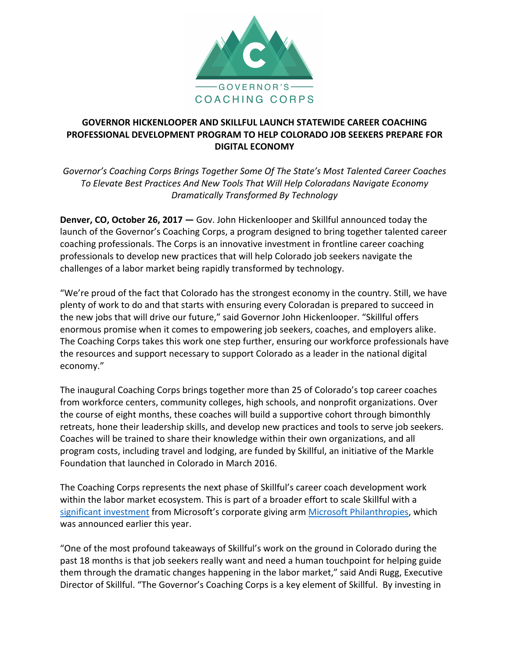

## **GOVERNOR HICKENLOOPER AND SKILLFUL LAUNCH STATEWIDE CAREER COACHING PROFESSIONAL DEVELOPMENT PROGRAM TO HELP COLORADO JOB SEEKERS PREPARE FOR DIGITAL ECONOMY**

Governor's Coaching Corps Brings Together Some Of The State's Most Talented Career Coaches *To Elevate Best Practices And New Tools That Will Help Coloradans Navigate Economy Dramatically Transformed By Technology*

**Denver, CO, October 26, 2017** — Gov. John Hickenlooper and Skillful announced today the launch of the Governor's Coaching Corps, a program designed to bring together talented career coaching professionals. The Corps is an innovative investment in frontline career coaching professionals to develop new practices that will help Colorado job seekers navigate the challenges of a labor market being rapidly transformed by technology.

"We're proud of the fact that Colorado has the strongest economy in the country. Still, we have plenty of work to do and that starts with ensuring every Coloradan is prepared to succeed in the new jobs that will drive our future," said Governor John Hickenlooper. "Skillful offers enormous promise when it comes to empowering job seekers, coaches, and employers alike. The Coaching Corps takes this work one step further, ensuring our workforce professionals have the resources and support necessary to support Colorado as a leader in the national digital economy."

The inaugural Coaching Corps brings together more than 25 of Colorado's top career coaches from workforce centers, community colleges, high schools, and nonprofit organizations. Over the course of eight months, these coaches will build a supportive cohort through bimonthly retreats, hone their leadership skills, and develop new practices and tools to serve job seekers. Coaches will be trained to share their knowledge within their own organizations, and all program costs, including travel and lodging, are funded by Skillful, an initiative of the Markle Foundation that launched in Colorado in March 2016.

The Coaching Corps represents the next phase of Skillful's career coach development work within the labor market ecosystem. This is part of a broader effort to scale Skillful with a significant investment from Microsoft's corporate giving arm Microsoft Philanthropies, which was announced earlier this year.

"One of the most profound takeaways of Skillful's work on the ground in Colorado during the past 18 months is that job seekers really want and need a human touchpoint for helping guide them through the dramatic changes happening in the labor market," said Andi Rugg, Executive Director of Skillful. "The Governor's Coaching Corps is a key element of Skillful. By investing in